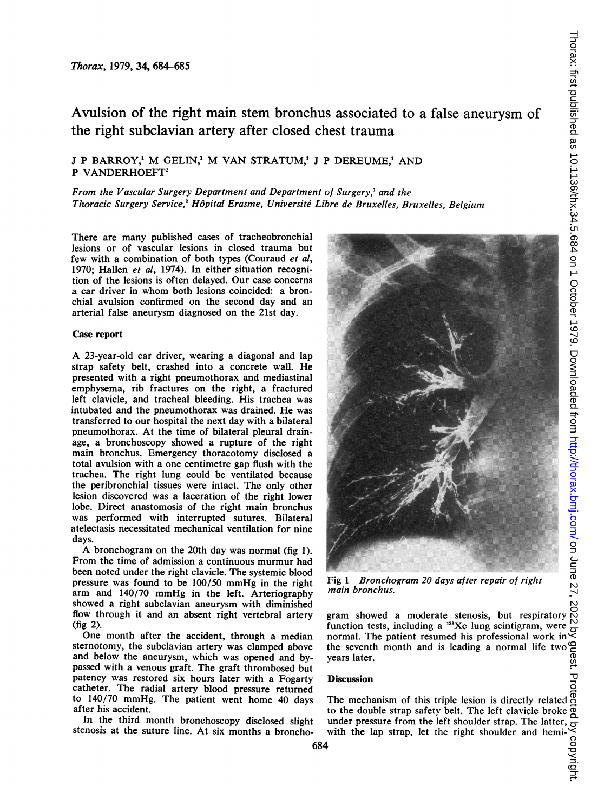# Avulsion of the right main stem bronchus associated to a false aneurysm of the right subclavian artery after closed chest trauma

## J P BARROY,<sup>1</sup> M GELIN,<sup>1</sup> M VAN STRATUM,<sup>1</sup> J P DEREUME,<sup>1</sup> AND P VANDERHOEFT<sup>2</sup>

### From the Vascular Surgery Department and Department of Surgery,' and the Thoracic Surgery Service,<sup>2</sup> Hôpital Erasme, Université Libre de Bruxelles, Bruxelles, Belgium

There are many published cases of tracheobronchial lesions or of vascular lesions in closed trauma but few with a combination of both types (Couraud et al, 1970; Hallen et al, 1974). In either situation recognition of the lesions is often delayed. Our case concerns a car driver in whom both lesions coincided: a bronchial avulsion confirmed on the second day and an arterial false aneurysm diagnosed on the 21st day.

#### Case report

A 23-year-old car driver, wearing <sup>a</sup> diagonal and lap strap safety belt, crashed into a concrete wall. He presented with a right pneumothorax and mediastinal emphysema, rib fractures on the right, a fractured left clavicle, and tracheal bleeding. His trachea was intubated and the pneumothorax was drained. He was transferred to our hospital the next day with a bilateral pneumothorax. At the time of bilateral pleural drainage, a bronchoscopy showed a rupture of the right main bronchus. Emergency thoracotomy disclosed a total avulsion with a one centimetre gap flush with the trachea. The right lung could be ventilated because the peribronchial tissues were intact. The only other lesion discovered was a laceration of the right lower lobe. Direct anastomosis of the right main bronchus was performed with interrupted sutures. Bilateral atelectasis necessitated mechanical ventilation for nine days.

A bronchogram on the 20th day was normal (fig 1). From the time of admission a continuous murmur had been noted under the right clavicle. The systemic blood pressure was found to be 100/50 mmHg in the right arm and 140/70 mmHg in the left. Arteriography showed a right subclavian aneurysm with diminished flow through it and an absent right vertebral artery (fig 2).

One month after the accident, through a median sternotomy, the subclavian artery was clamped above and below the aneurysm, which was opened and bypassed with a venous graft. The graft thrombosed but patency was restored six hours later with a Fogarty catheter. The radial artery blood pressure returned to 140/70 mmHg. The patient went home 40 days after his accident.

In the third month bronchoscopy disclosed slight stenosis at the suture line. At six months a broncho-



Fig <sup>1</sup> Bronchogram 20 days after repair of right main bronchus.

function tests, including a <sup>133</sup>Xe lung scintigram, were normal. The patient resumed his professional work in normal. The patient resumed his professional work in the seventh month and is leading a normal life two years later.

#### Discussion

The mechanism of this triple lesion is directly related to the double strap safety belt. The left clavicle broke under pressure from the left shoulder strap. The latter,  $\frac{d}{dx}$  with the lap strap, let the right shoulder and hemi-<br>  $\downarrow$ with the lap strap, let the right shoulder and hemi-